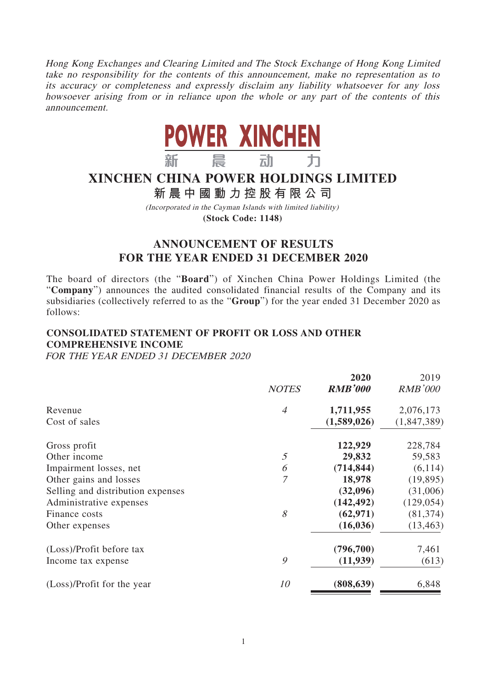Hong Kong Exchanges and Clearing Limited and The Stock Exchange of Hong Kong Limited take no responsibility for the contents of this announcement, make no representation as to its accuracy or completeness and expressly disclaim any liability whatsoever for any loss howsoever arising from or in reliance upon the whole or any part of the contents of this announcement.



# **XINCHEN CHINA POWER HOLDINGS LIMITED**

# **新晨中國動力控股有限公 司**

(Incorporated in the Cayman Islands with limited liability) **(Stock Code: 1148)**

# **ANNOUNCEMENT OF RESULTS FOR THE YEAR ENDED 31 DECEMBER 2020**

The board of directors (the "**Board**") of Xinchen China Power Holdings Limited (the "**Company**") announces the audited consolidated financial results of the Company and its subsidiaries (collectively referred to as the "**Group**") for the year ended 31 December 2020 as follows:

# **CONSOLIDATED STATEMENT OF PROFIT OR LOSS AND OTHER COMPREHENSIVE INCOME**

FOR THE YEAR ENDED 31 DECEMBER 2020

|                |                | 2019           |
|----------------|----------------|----------------|
| <b>NOTES</b>   | <b>RMB'000</b> | <b>RMB'000</b> |
| $\overline{A}$ | 1,711,955      | 2,076,173      |
|                | (1,589,026)    | (1,847,389)    |
|                | 122,929        | 228,784        |
| 5              | 29,832         | 59,583         |
| 6              | (714, 844)     | (6, 114)       |
| $\overline{7}$ | 18,978         | (19, 895)      |
|                | (32,096)       | (31,006)       |
|                | (142, 492)     | (129, 054)     |
| 8              | (62, 971)      | (81, 374)      |
|                | (16, 036)      | (13, 463)      |
|                | (796, 700)     | 7,461          |
| 9              | (11,939)       | (613)          |
| 10             | (808, 639)     | 6,848          |
|                |                | 2020           |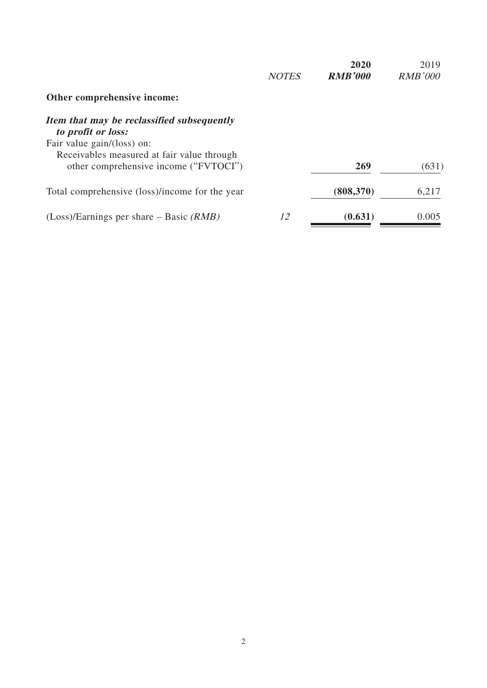|                                                                  | <b>NOTES</b> | 2020<br><b>RMB'000</b> | 2019<br><i>RMB'000</i> |
|------------------------------------------------------------------|--------------|------------------------|------------------------|
| Other comprehensive income:                                      |              |                        |                        |
| Item that may be reclassified subsequently<br>to profit or loss: |              |                        |                        |
| Fair value gain/(loss) on:                                       |              |                        |                        |
| Receivables measured at fair value through                       |              |                        |                        |
| other comprehensive income ("FVTOCI")                            |              | 269                    | (631)                  |
| Total comprehensive (loss)/income for the year                   |              | (808, 370)             | 6,217                  |
| $(Loss)/Earnings$ per share – Basic ( <i>RMB</i> )               | 12           | (0.631)                | 0.005                  |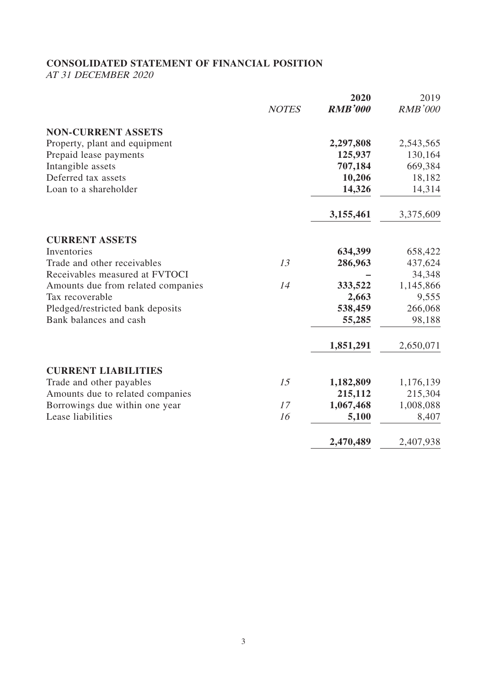# **CONSOLIDATED STATEMENT OF FINANCIAL POSITION**

AT 31 DECEMBER 2020

|              | 2020           | 2019           |
|--------------|----------------|----------------|
| <b>NOTES</b> | <b>RMB'000</b> | <b>RMB'000</b> |
|              |                |                |
|              | 2,297,808      | 2,543,565      |
|              | 125,937        | 130,164        |
|              | 707,184        | 669,384        |
|              | 10,206         | 18,182         |
|              | 14,326         | 14,314         |
|              | 3,155,461      | 3,375,609      |
|              |                |                |
|              | 634,399        | 658,422        |
| 13           | 286,963        | 437,624        |
|              |                | 34,348         |
| 14           | 333,522        | 1,145,866      |
|              | 2,663          | 9,555          |
|              | 538,459        | 266,068        |
|              | 55,285         | 98,188         |
|              | 1,851,291      | 2,650,071      |
|              |                |                |
| 15           | 1,182,809      | 1,176,139      |
|              | 215,112        | 215,304        |
| 17           | 1,067,468      | 1,008,088      |
| 16           | 5,100          | 8,407          |
|              | 2,470,489      | 2,407,938      |
|              |                |                |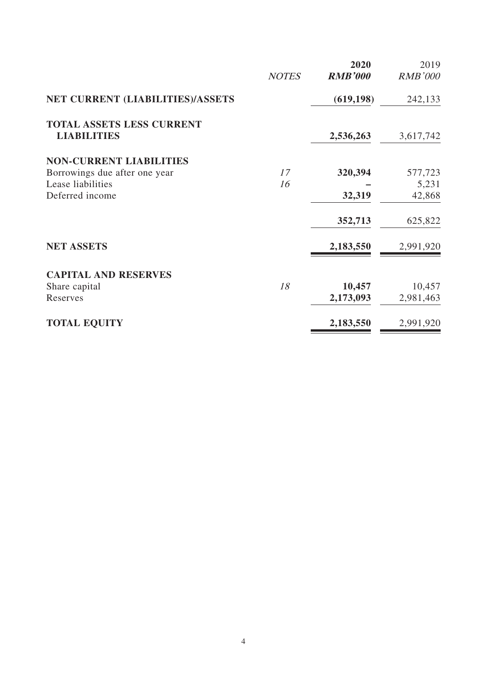|                                                        | <b>NOTES</b> | 2020<br><b>RMB'000</b> | 2019<br><b>RMB'000</b> |
|--------------------------------------------------------|--------------|------------------------|------------------------|
| NET CURRENT (LIABILITIES)/ASSETS                       |              | (619, 198)             | 242,133                |
| <b>TOTAL ASSETS LESS CURRENT</b><br><b>LIABILITIES</b> |              | 2,536,263              | 3,617,742              |
| <b>NON-CURRENT LIABILITIES</b>                         |              |                        |                        |
| Borrowings due after one year                          | 17           | 320,394                | 577,723                |
| Lease liabilities                                      | 16           |                        | 5,231                  |
| Deferred income                                        |              | 32,319                 | 42,868                 |
|                                                        |              | 352,713                | 625,822                |
| <b>NET ASSETS</b>                                      |              | 2,183,550              | 2,991,920              |
| <b>CAPITAL AND RESERVES</b>                            |              |                        |                        |
| Share capital                                          | 18           | 10,457                 | 10,457                 |
| Reserves                                               |              | 2,173,093              | 2,981,463              |
| <b>TOTAL EQUITY</b>                                    |              | 2,183,550              | 2,991,920              |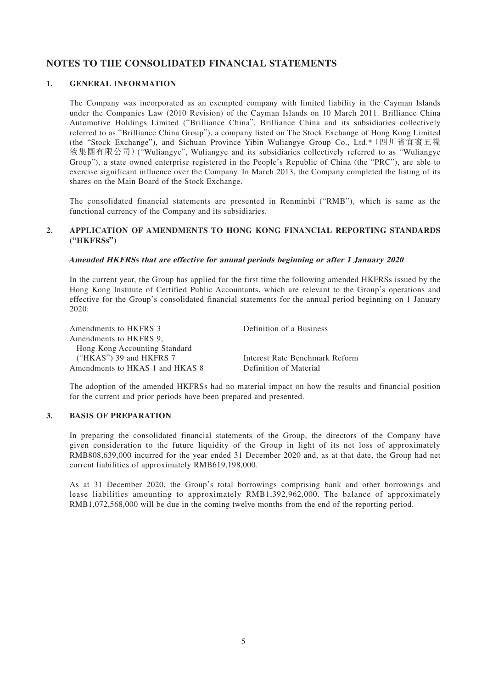### **NOTES TO THE CONSOLIDATED FINANCIAL STATEMENTS**

#### **1. GENERAL INFORMATION**

The Company was incorporated as an exempted company with limited liability in the Cayman Islands under the Companies Law (2010 Revision) of the Cayman Islands on 10 March 2011. Brilliance China Automotive Holdings Limited ("Brilliance China", Brilliance China and its subsidiaries collectively referred to as "Brilliance China Group"), a company listed on The Stock Exchange of Hong Kong Limited (the "Stock Exchange"), and Sichuan Province Yibin Wuliangye Group Co., Ltd.\*(四川省宜賓五糧 液集團有限公司)("Wuliangye", Wuliangye and its subsidiaries collectively referred to as "Wuliangye Group"), a state owned enterprise registered in the People's Republic of China (the "PRC"), are able to exercise significant influence over the Company. In March 2013, the Company completed the listing of its shares on the Main Board of the Stock Exchange.

The consolidated financial statements are presented in Renminbi ("RMB"), which is same as the functional currency of the Company and its subsidiaries.

#### **2. APPLICATION OF AMENDMENTS TO HONG KONG FINANCIAL REPORTING STANDARDS ("HKFRSs")**

#### **Amended HKFRSs that are effective for annual periods beginning or after 1 January 2020**

In the current year, the Group has applied for the first time the following amended HKFRSs issued by the Hong Kong Institute of Certified Public Accountants, which are relevant to the Group's operations and effective for the Group's consolidated financial statements for the annual period beginning on 1 January 2020:

| Amendments to HKFRS 3           | Definition of a Business       |
|---------------------------------|--------------------------------|
| Amendments to HKFRS 9.          |                                |
| Hong Kong Accounting Standard   |                                |
| ("HKAS") 39 and HKFRS $7$       | Interest Rate Benchmark Reform |
| Amendments to HKAS 1 and HKAS 8 | Definition of Material         |

The adoption of the amended HKFRSs had no material impact on how the results and financial position for the current and prior periods have been prepared and presented.

### **3. BASIS OF PREPARATION**

In preparing the consolidated financial statements of the Group, the directors of the Company have given consideration to the future liquidity of the Group in light of its net loss of approximately RMB808,639,000 incurred for the year ended 31 December 2020 and, as at that date, the Group had net current liabilities of approximately RMB619,198,000.

As at 31 December 2020, the Group's total borrowings comprising bank and other borrowings and lease liabilities amounting to approximately RMB1,392,962,000. The balance of approximately RMB1,072,568,000 will be due in the coming twelve months from the end of the reporting period.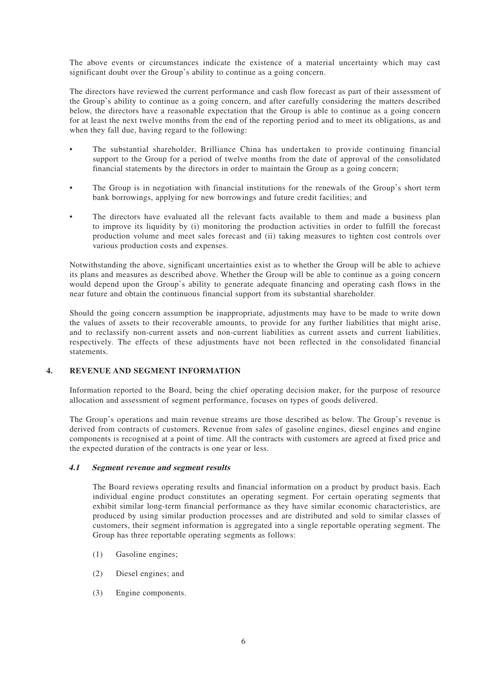The above events or circumstances indicate the existence of a material uncertainty which may cast significant doubt over the Group's ability to continue as a going concern.

The directors have reviewed the current performance and cash flow forecast as part of their assessment of the Group's ability to continue as a going concern, and after carefully considering the matters described below, the directors have a reasonable expectation that the Group is able to continue as a going concern for at least the next twelve months from the end of the reporting period and to meet its obligations, as and when they fall due, having regard to the following:

- The substantial shareholder, Brilliance China has undertaken to provide continuing financial support to the Group for a period of twelve months from the date of approval of the consolidated financial statements by the directors in order to maintain the Group as a going concern;
- The Group is in negotiation with financial institutions for the renewals of the Group's short term bank borrowings, applying for new borrowings and future credit facilities; and
- The directors have evaluated all the relevant facts available to them and made a business plan to improve its liquidity by (i) monitoring the production activities in order to fulfill the forecast production volume and meet sales forecast and (ii) taking measures to tighten cost controls over various production costs and expenses.

Notwithstanding the above, significant uncertainties exist as to whether the Group will be able to achieve its plans and measures as described above. Whether the Group will be able to continue as a going concern would depend upon the Group's ability to generate adequate financing and operating cash flows in the near future and obtain the continuous financial support from its substantial shareholder.

Should the going concern assumption be inappropriate, adjustments may have to be made to write down the values of assets to their recoverable amounts, to provide for any further liabilities that might arise, and to reclassify non-current assets and non-current liabilities as current assets and current liabilities, respectively. The effects of these adjustments have not been reflected in the consolidated financial statements.

#### **4. REVENUE AND SEGMENT INFORMATION**

Information reported to the Board, being the chief operating decision maker, for the purpose of resource allocation and assessment of segment performance, focuses on types of goods delivered.

The Group's operations and main revenue streams are those described as below. The Group's revenue is derived from contracts of customers. Revenue from sales of gasoline engines, diesel engines and engine components is recognised at a point of time. All the contracts with customers are agreed at fixed price and the expected duration of the contracts is one year or less.

#### **4.1 Segment revenue and segment results**

The Board reviews operating results and financial information on a product by product basis. Each individual engine product constitutes an operating segment. For certain operating segments that exhibit similar long-term financial performance as they have similar economic characteristics, are produced by using similar production processes and are distributed and sold to similar classes of customers, their segment information is aggregated into a single reportable operating segment. The Group has three reportable operating segments as follows:

- (1) Gasoline engines;
- (2) Diesel engines; and
- (3) Engine components.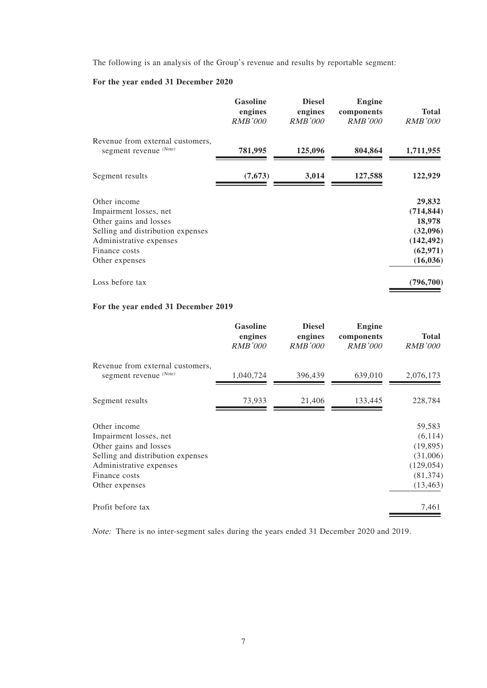The following is an analysis of the Group's revenue and results by reportable segment:

### **For the year ended 31 December 2020**

|                                                                                                                                                                     | <b>Gasoline</b><br>engines<br><i>RMB'000</i> | <b>Diesel</b><br>engines<br><i>RMB'000</i> | <b>Engine</b><br>components<br><i>RMB'000</i> | <b>Total</b><br><i>RMB'000</i>                                                     |
|---------------------------------------------------------------------------------------------------------------------------------------------------------------------|----------------------------------------------|--------------------------------------------|-----------------------------------------------|------------------------------------------------------------------------------------|
| Revenue from external customers,<br>segment revenue (Note)                                                                                                          | 781,995                                      | 125,096                                    | 804,864                                       | 1,711,955                                                                          |
| Segment results                                                                                                                                                     | (7, 673)                                     | 3,014                                      | 127,588                                       | 122,929                                                                            |
| Other income<br>Impairment losses, net<br>Other gains and losses<br>Selling and distribution expenses<br>Administrative expenses<br>Finance costs<br>Other expenses |                                              |                                            |                                               | 29,832<br>(714, 844)<br>18,978<br>(32,096)<br>(142, 492)<br>(62, 971)<br>(16, 036) |
| Loss before tax                                                                                                                                                     |                                              |                                            |                                               | (796, 700)                                                                         |

#### **For the year ended 31 December 2019**

|                                                                                                                                                                     | <b>Gasoline</b><br>engines<br><b>RMB'000</b> | <b>Diesel</b><br>engines<br><b>RMB'000</b> | <b>Engine</b><br>components<br><b>RMB'000</b> | <b>Total</b><br><b>RMB'000</b>                                                      |
|---------------------------------------------------------------------------------------------------------------------------------------------------------------------|----------------------------------------------|--------------------------------------------|-----------------------------------------------|-------------------------------------------------------------------------------------|
| Revenue from external customers,<br>segment revenue (Note)                                                                                                          | 1,040,724                                    | 396,439                                    | 639,010                                       | 2,076,173                                                                           |
| Segment results                                                                                                                                                     | 73,933                                       | 21,406                                     | 133,445                                       | 228,784                                                                             |
| Other income<br>Impairment losses, net<br>Other gains and losses<br>Selling and distribution expenses<br>Administrative expenses<br>Finance costs<br>Other expenses |                                              |                                            |                                               | 59,583<br>(6, 114)<br>(19, 895)<br>(31,006)<br>(129, 054)<br>(81, 374)<br>(13, 463) |
| Profit before tax                                                                                                                                                   |                                              |                                            |                                               | 7,461                                                                               |

Note: There is no inter-segment sales during the years ended 31 December 2020 and 2019.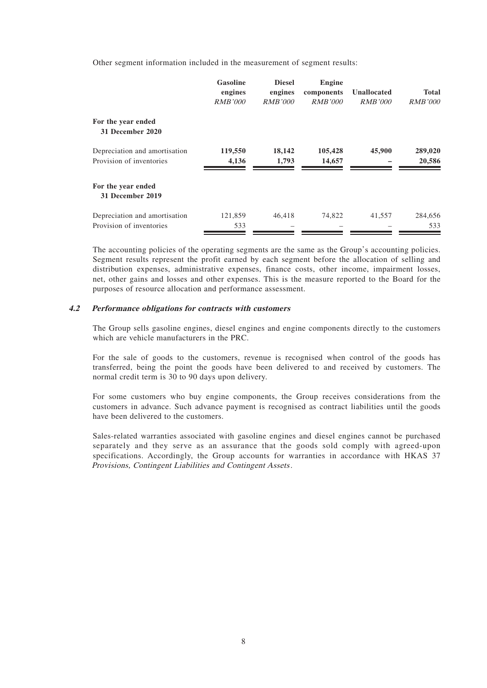Other segment information included in the measurement of segment results:

|                                                           | <b>Gasoline</b><br>engines<br><i>RMB'000</i> | <b>Diesel</b><br>engines<br><i>RMB'000</i> | <b>Engine</b><br>components<br><i>RMB'000</i> | Unallocated<br><i>RMB'000</i> | <b>Total</b><br><i>RMB'000</i> |
|-----------------------------------------------------------|----------------------------------------------|--------------------------------------------|-----------------------------------------------|-------------------------------|--------------------------------|
| For the year ended<br>31 December 2020                    |                                              |                                            |                                               |                               |                                |
| Depreciation and amortisation<br>Provision of inventories | 119,550<br>4,136                             | 18,142<br>1,793                            | 105,428<br>14,657                             | 45,900                        | 289,020<br>20,586              |
| For the year ended<br>31 December 2019                    |                                              |                                            |                                               |                               |                                |
| Depreciation and amortisation<br>Provision of inventories | 121,859<br>533                               | 46,418                                     | 74,822                                        | 41,557                        | 284,656<br>533                 |

The accounting policies of the operating segments are the same as the Group's accounting policies. Segment results represent the profit earned by each segment before the allocation of selling and distribution expenses, administrative expenses, finance costs, other income, impairment losses, net, other gains and losses and other expenses. This is the measure reported to the Board for the purposes of resource allocation and performance assessment.

#### **4.2 Performance obligations for contracts with customers**

The Group sells gasoline engines, diesel engines and engine components directly to the customers which are vehicle manufacturers in the PRC.

For the sale of goods to the customers, revenue is recognised when control of the goods has transferred, being the point the goods have been delivered to and received by customers. The normal credit term is 30 to 90 days upon delivery.

For some customers who buy engine components, the Group receives considerations from the customers in advance. Such advance payment is recognised as contract liabilities until the goods have been delivered to the customers.

Sales-related warranties associated with gasoline engines and diesel engines cannot be purchased separately and they serve as an assurance that the goods sold comply with agreed-upon specifications. Accordingly, the Group accounts for warranties in accordance with HKAS 37 Provisions, Contingent Liabilities and Contingent Assets.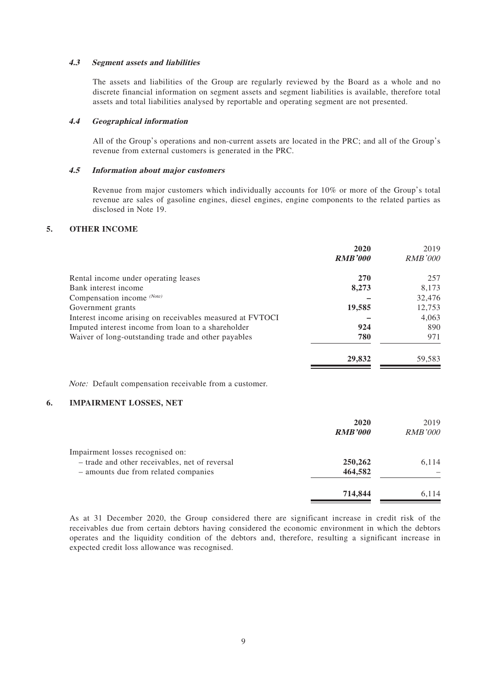#### **4.3 Segment assets and liabilities**

The assets and liabilities of the Group are regularly reviewed by the Board as a whole and no discrete financial information on segment assets and segment liabilities is available, therefore total assets and total liabilities analysed by reportable and operating segment are not presented.

#### **4.4 Geographical information**

All of the Group's operations and non-current assets are located in the PRC; and all of the Group's revenue from external customers is generated in the PRC.

#### **4.5 Information about major customers**

Revenue from major customers which individually accounts for 10% or more of the Group's total revenue are sales of gasoline engines, diesel engines, engine components to the related parties as disclosed in Note 19.

#### **5. OTHER INCOME**

|                                                           | 2020<br><b>RMB'000</b> | 2019<br><b>RMB'000</b> |
|-----------------------------------------------------------|------------------------|------------------------|
| Rental income under operating leases                      | <b>270</b>             | 257                    |
| Bank interest income                                      | 8,273                  | 8,173                  |
| Compensation income (Note)                                |                        | 32,476                 |
| Government grants                                         | 19,585                 | 12,753                 |
| Interest income arising on receivables measured at FVTOCI |                        | 4,063                  |
| Imputed interest income from loan to a shareholder        | 924                    | 890                    |
| Waiver of long-outstanding trade and other payables       | 780                    | 971                    |
|                                                           | 29,832                 | 59,583                 |

Note: Default compensation receivable from a customer.

#### **6. IMPAIRMENT LOSSES, NET**

|                                                | 2020<br><b>RMB'000</b> | 2019<br><b>RMB'000</b> |
|------------------------------------------------|------------------------|------------------------|
| Impairment losses recognised on:               |                        |                        |
| - trade and other receivables, net of reversal | 250,262                | 6,114                  |
| - amounts due from related companies           | 464,582                |                        |
|                                                | 714,844                | 6.114                  |

As at 31 December 2020, the Group considered there are significant increase in credit risk of the receivables due from certain debtors having considered the economic environment in which the debtors operates and the liquidity condition of the debtors and, therefore, resulting a significant increase in expected credit loss allowance was recognised.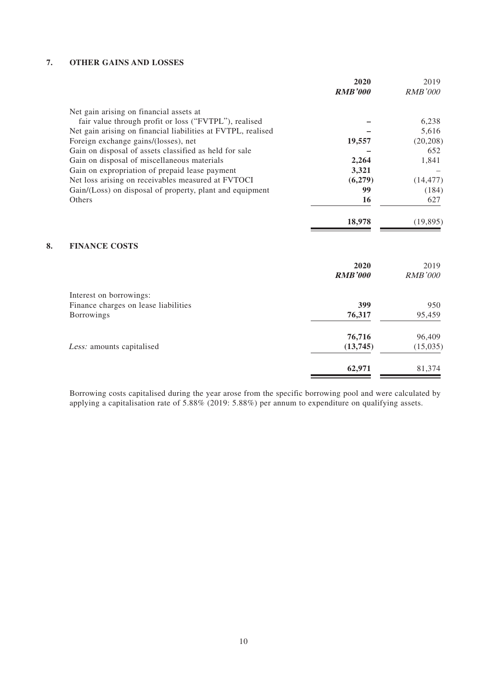### **7. OTHER GAINS AND LOSSES**

|    |                                                              | 2020           | 2019           |
|----|--------------------------------------------------------------|----------------|----------------|
|    |                                                              | <b>RMB'000</b> | <b>RMB'000</b> |
|    | Net gain arising on financial assets at                      |                |                |
|    | fair value through profit or loss ("FVTPL"), realised        |                | 6,238          |
|    | Net gain arising on financial liabilities at FVTPL, realised |                | 5,616          |
|    | Foreign exchange gains/(losses), net                         | 19,557         | (20, 208)      |
|    | Gain on disposal of assets classified as held for sale       |                | 652            |
|    | Gain on disposal of miscellaneous materials                  | 2,264          | 1,841          |
|    | Gain on expropriation of prepaid lease payment               | 3,321          |                |
|    | Net loss arising on receivables measured at FVTOCI           | (6,279)        | (14, 477)      |
|    | Gain/(Loss) on disposal of property, plant and equipment     | 99             | (184)          |
|    | <b>Others</b>                                                | 16             | 627            |
|    |                                                              | 18,978         | (19, 895)      |
| 8. | <b>FINANCE COSTS</b>                                         |                |                |
|    |                                                              | 2020           | 2019           |
|    |                                                              | <b>RMB'000</b> | <b>RMB'000</b> |
|    | Interest on borrowings:                                      |                |                |
|    | Finance charges on lease liabilities                         | 399            | 950            |
|    | Borrowings                                                   | 76,317         | 95,459         |
|    |                                                              | 76,716         | 96,409         |
|    | Less: amounts capitalised                                    | (13,745)       | (15,035)       |
|    |                                                              | 62,971         | 81,374         |

Borrowing costs capitalised during the year arose from the specific borrowing pool and were calculated by applying a capitalisation rate of 5.88% (2019: 5.88%) per annum to expenditure on qualifying assets.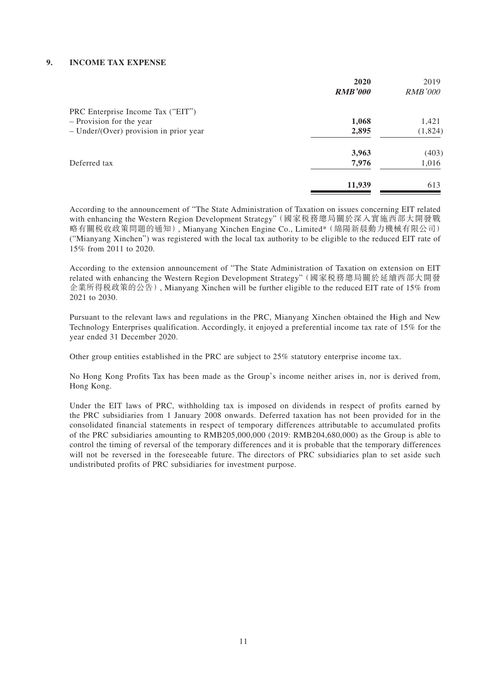#### **9. INCOME TAX EXPENSE**

|                                          | 2020           | 2019           |
|------------------------------------------|----------------|----------------|
|                                          | <b>RMB'000</b> | <i>RMB'000</i> |
| PRC Enterprise Income Tax ("EIT")        |                |                |
| - Provision for the year                 | 1,068          | 1,421          |
| $-$ Under/(Over) provision in prior year | 2,895          | (1,824)        |
|                                          | 3,963          | (403)          |
| Deferred tax                             | 7,976          | 1,016          |
|                                          | 11,939         | 613            |

According to the announcement of "The State Administration of Taxation on issues concerning EIT related with enhancing the Western Region Development Strategy"(國家稅務總局關於深入實施西部大開發戰 略有關稅收政策問題的通知), Mianyang Xinchen Engine Co., Limited\*(綿陽新晨動力機械有限公司) ("Mianyang Xinchen") was registered with the local tax authority to be eligible to the reduced EIT rate of 15% from 2011 to 2020.

According to the extension announcement of "The State Administration of Taxation on extension on EIT related with enhancing the Western Region Development Strategy"(國家稅務總局關於延續西部大開發 企業所得稅政策的公告), Mianyang Xinchen will be further eligible to the reduced EIT rate of 15% from 2021 to 2030.

Pursuant to the relevant laws and regulations in the PRC, Mianyang Xinchen obtained the High and New Technology Enterprises qualification. Accordingly, it enjoyed a preferential income tax rate of 15% for the year ended 31 December 2020.

Other group entities established in the PRC are subject to 25% statutory enterprise income tax.

No Hong Kong Profits Tax has been made as the Group's income neither arises in, nor is derived from, Hong Kong.

Under the EIT laws of PRC, withholding tax is imposed on dividends in respect of profits earned by the PRC subsidiaries from 1 January 2008 onwards. Deferred taxation has not been provided for in the consolidated financial statements in respect of temporary differences attributable to accumulated profits of the PRC subsidiaries amounting to RMB205,000,000 (2019: RMB204,680,000) as the Group is able to control the timing of reversal of the temporary differences and it is probable that the temporary differences will not be reversed in the foreseeable future. The directors of PRC subsidiaries plan to set aside such undistributed profits of PRC subsidiaries for investment purpose.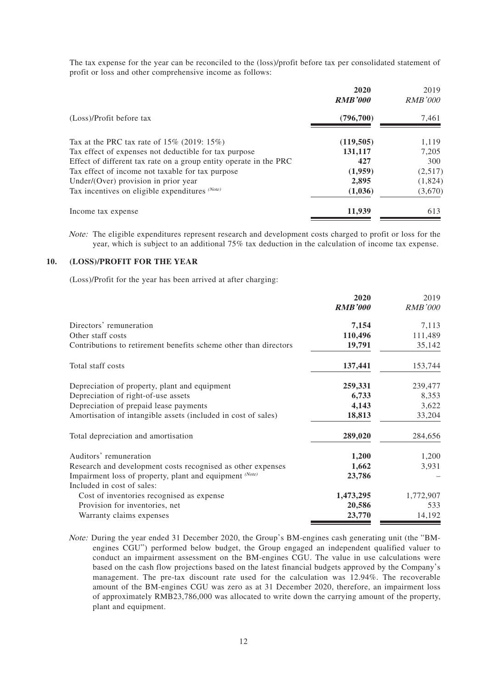The tax expense for the year can be reconciled to the (loss)/profit before tax per consolidated statement of profit or loss and other comprehensive income as follows:

|                                                                   | 2020<br><b>RMB'000</b> | 2019<br><i>RMB'000</i> |
|-------------------------------------------------------------------|------------------------|------------------------|
| (Loss)/Profit before tax                                          | (796,700)              | 7,461                  |
| Tax at the PRC tax rate of $15\%$ (2019: 15%)                     | (119, 505)             | 1,119                  |
| Tax effect of expenses not deductible for tax purpose             | 131,117                | 7,205                  |
| Effect of different tax rate on a group entity operate in the PRC | 427                    | 300                    |
| Tax effect of income not taxable for tax purpose                  | (1,959)                | (2,517)                |
| Under/(Over) provision in prior year                              | 2,895                  | (1,824)                |
| Tax incentives on eligible expenditures (Note)                    | (1,036)                | (3,670)                |
| Income tax expense                                                | 11,939                 | 613                    |

Note: The eligible expenditures represent research and development costs charged to profit or loss for the year, which is subject to an additional 75% tax deduction in the calculation of income tax expense.

#### **10. (LOSS)/PROFIT FOR THE YEAR**

(Loss)/Profit for the year has been arrived at after charging:

|                                                                         | 2020           | 2019           |
|-------------------------------------------------------------------------|----------------|----------------|
|                                                                         | <b>RMB'000</b> | <b>RMB'000</b> |
| Directors' remuneration                                                 | 7,154          | 7,113          |
| Other staff costs                                                       | 110,496        | 111,489        |
| Contributions to retirement benefits scheme other than directors        | 19,791         | 35,142         |
| Total staff costs                                                       | 137,441        | 153,744        |
| Depreciation of property, plant and equipment                           | 259,331        | 239,477        |
| Depreciation of right-of-use assets                                     | 6,733          | 8,353          |
| Depreciation of prepaid lease payments                                  | 4,143          | 3,622          |
| Amortisation of intangible assets (included in cost of sales)           | 18,813         | 33,204         |
| Total depreciation and amortisation                                     | 289,020        | 284,656        |
| Auditors' remuneration                                                  | 1,200          | 1,200          |
| Research and development costs recognised as other expenses             | 1,662          | 3,931          |
| Impairment loss of property, plant and equipment (Note)                 | 23,786         |                |
| Included in cost of sales:<br>Cost of inventories recognised as expense | 1,473,295      | 1,772,907      |
| Provision for inventories, net                                          | 20,586         | 533            |
| Warranty claims expenses                                                | 23,770         | 14,192         |

Note: During the year ended 31 December 2020, the Group's BM-engines cash generating unit (the "BMengines CGU") performed below budget, the Group engaged an independent qualified valuer to conduct an impairment assessment on the BM-engines CGU. The value in use calculations were based on the cash flow projections based on the latest financial budgets approved by the Company's management. The pre-tax discount rate used for the calculation was 12.94%. The recoverable amount of the BM-engines CGU was zero as at 31 December 2020, therefore, an impairment loss of approximately RMB23,786,000 was allocated to write down the carrying amount of the property, plant and equipment.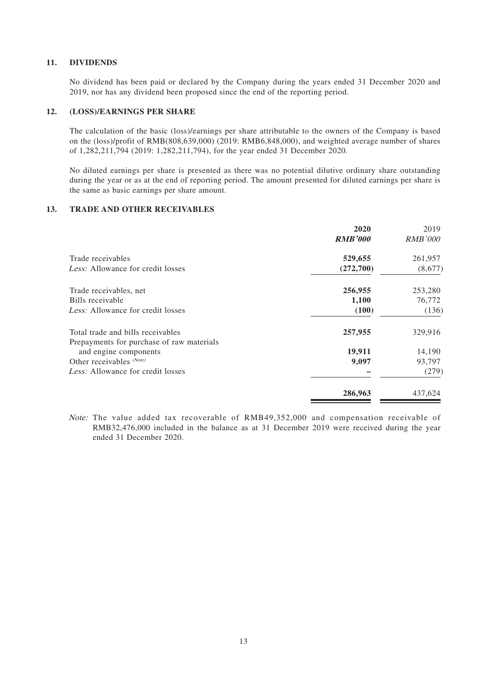#### **11. DIVIDENDS**

No dividend has been paid or declared by the Company during the years ended 31 December 2020 and 2019, nor has any dividend been proposed since the end of the reporting period.

#### **12. (LOSS)/EARNINGS PER SHARE**

The calculation of the basic (loss)/earnings per share attributable to the owners of the Company is based on the (loss)/profit of RMB(808,639,000) (2019: RMB6,848,000), and weighted average number of shares of 1,282,211,794 (2019: 1,282,211,794), for the year ended 31 December 2020.

No diluted earnings per share is presented as there was no potential dilutive ordinary share outstanding during the year or as at the end of reporting period. The amount presented for diluted earnings per share is the same as basic earnings per share amount.

#### **13. TRADE AND OTHER RECEIVABLES**

|                                                                    | 2020<br><b>RMB'000</b> | 2019<br><b>RMB'000</b> |
|--------------------------------------------------------------------|------------------------|------------------------|
| Trade receivables                                                  | 529,655                | 261,957                |
| <i>Less:</i> Allowance for credit losses                           | (272,700)              | (8,677)                |
| Trade receivables, net                                             | 256,955                | 253,280                |
| Bills receivable                                                   | 1,100                  | 76,772                 |
| Less: Allowance for credit losses                                  | (100)                  | (136)                  |
| Total trade and bills receivables                                  | 257,955                | 329,916                |
| Prepayments for purchase of raw materials<br>and engine components | 19,911                 | 14,190                 |
| Other receivables $(Note)$                                         | 9,097                  | 93,797                 |
| Less: Allowance for credit losses                                  |                        | (279)                  |
|                                                                    | 286,963                | 437,624                |

Note: The value added tax recoverable of RMB49,352,000 and compensation receivable of RMB32,476,000 included in the balance as at 31 December 2019 were received during the year ended 31 December 2020.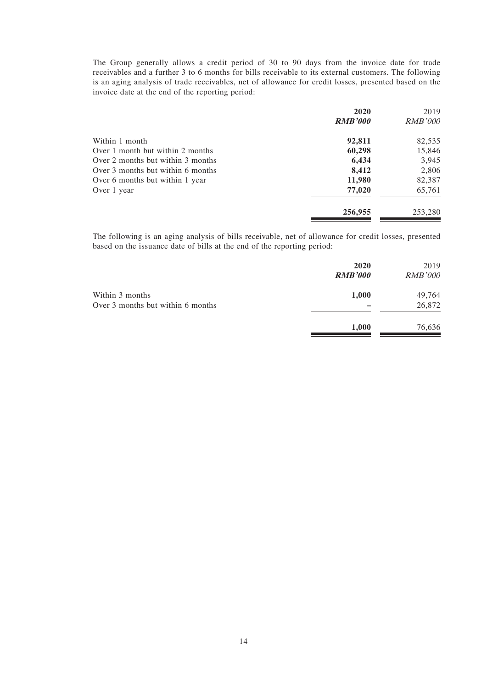The Group generally allows a credit period of 30 to 90 days from the invoice date for trade receivables and a further 3 to 6 months for bills receivable to its external customers. The following is an aging analysis of trade receivables, net of allowance for credit losses, presented based on the invoice date at the end of the reporting period:

|                                   | 2020           | 2019           |
|-----------------------------------|----------------|----------------|
|                                   | <b>RMB'000</b> | <b>RMB'000</b> |
| Within 1 month                    | 92,811         | 82,535         |
| Over 1 month but within 2 months  | 60,298         | 15,846         |
| Over 2 months but within 3 months | 6,434          | 3,945          |
| Over 3 months but within 6 months | 8,412          | 2,806          |
| Over 6 months but within 1 year   | 11,980         | 82,387         |
| Over 1 year                       | 77,020         | 65,761         |
|                                   | 256,955        | 253,280        |

The following is an aging analysis of bills receivable, net of allowance for credit losses, presented based on the issuance date of bills at the end of the reporting period:

|                                   | 2020<br><b>RMB'000</b> | 2019<br><b>RMB'000</b> |
|-----------------------------------|------------------------|------------------------|
| Within 3 months                   | 1,000                  | 49,764                 |
| Over 3 months but within 6 months |                        | 26,872                 |
|                                   | 1,000                  | 76,636                 |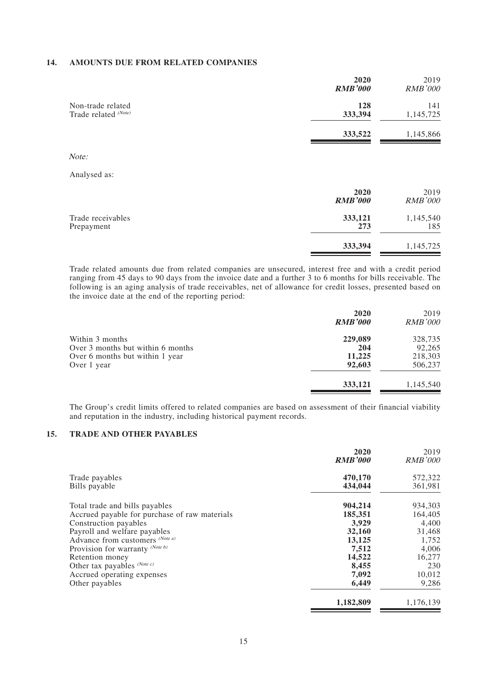#### **14. AMOUNTS DUE FROM RELATED COMPANIES**

|                                           | 2020<br><b>RMB'000</b> | 2019<br><b>RMB'000</b> |
|-------------------------------------------|------------------------|------------------------|
| Non-trade related<br>Trade related (Note) | 128<br>333,394         | 141<br>1,145,725       |
|                                           | 333,522                | 1,145,866              |
| Note:                                     |                        |                        |
| Analysed as:                              |                        |                        |
|                                           | 2020<br><b>RMB'000</b> | 2019<br><b>RMB'000</b> |
| Trade receivables<br>Prepayment           | 333,121<br>273         | 1,145,540<br>185       |

Trade related amounts due from related companies are unsecured, interest free and with a credit period ranging from 45 days to 90 days from the invoice date and a further 3 to 6 months for bills receivable. The following is an aging analysis of trade receivables, net of allowance for credit losses, presented based on the invoice date at the end of the reporting period:

**333,394** 1,145,725

|                                   | 2020<br><b>RMB'000</b> | 2019<br><i>RMB'000</i> |
|-----------------------------------|------------------------|------------------------|
| Within 3 months                   | 229,089                | 328,735                |
| Over 3 months but within 6 months | 204                    | 92.265                 |
| Over 6 months but within 1 year   | 11,225                 | 218,303                |
| Over 1 year                       | 92.603                 | 506,237                |
|                                   | 333,121                | 1,145,540              |

The Group's credit limits offered to related companies are based on assessment of their financial viability and reputation in the industry, including historical payment records.

### **15. TRADE AND OTHER PAYABLES**

|                                               | 2020<br><b>RMB'000</b> | 2019<br><b>RMB'000</b> |
|-----------------------------------------------|------------------------|------------------------|
| Trade payables                                | 470,170                | 572,322                |
| Bills payable                                 | 434,044                | 361,981                |
| Total trade and bills payables                | 904,214                | 934,303                |
| Accrued payable for purchase of raw materials | 185,351                | 164,405                |
| Construction payables                         | 3,929                  | 4,400                  |
| Payroll and welfare payables                  | 32,160                 | 31,468                 |
| Advance from customers (Note a)               | 13,125                 | 1,752                  |
| Provision for warranty (Note b)               | 7,512                  | 4,006                  |
| Retention money                               | 14,522                 | 16,277                 |
| Other tax payables $(Note c)$                 | 8,455                  | 230                    |
| Accrued operating expenses                    | 7,092                  | 10,012                 |
| Other payables                                | 6,449                  | 9,286                  |
|                                               | 1,182,809              | 1,176,139              |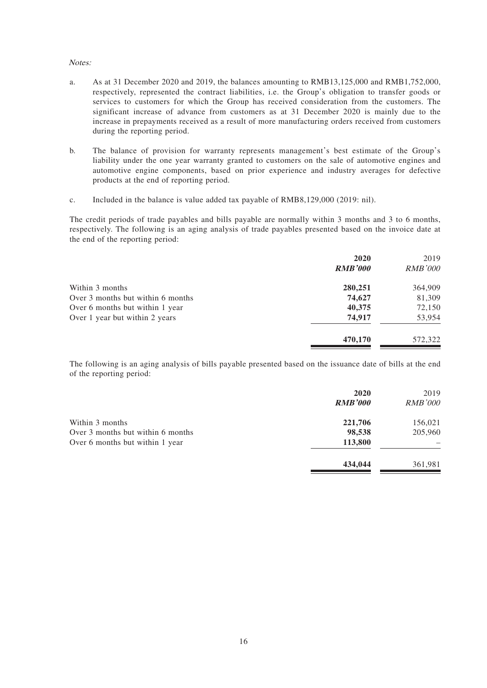#### Notes:

- a. As at 31 December 2020 and 2019, the balances amounting to RMB13,125,000 and RMB1,752,000, respectively, represented the contract liabilities, i.e. the Group's obligation to transfer goods or services to customers for which the Group has received consideration from the customers. The significant increase of advance from customers as at 31 December 2020 is mainly due to the increase in prepayments received as a result of more manufacturing orders received from customers during the reporting period.
- b. The balance of provision for warranty represents management's best estimate of the Group's liability under the one year warranty granted to customers on the sale of automotive engines and automotive engine components, based on prior experience and industry averages for defective products at the end of reporting period.
- c. Included in the balance is value added tax payable of RMB8,129,000 (2019: nil).

The credit periods of trade payables and bills payable are normally within 3 months and 3 to 6 months, respectively. The following is an aging analysis of trade payables presented based on the invoice date at the end of the reporting period:

|                                   | 2020           | 2019           |
|-----------------------------------|----------------|----------------|
|                                   | <b>RMB'000</b> | <b>RMB'000</b> |
| Within 3 months                   | 280,251        | 364,909        |
| Over 3 months but within 6 months | 74,627         | 81,309         |
| Over 6 months but within 1 year   | 40,375         | 72,150         |
| Over 1 year but within 2 years    | 74,917         | 53,954         |
|                                   | 470,170        | 572,322        |

The following is an aging analysis of bills payable presented based on the issuance date of bills at the end of the reporting period:

|                                   | 2020<br><b>RMB'000</b> | 2019<br><b>RMB'000</b> |
|-----------------------------------|------------------------|------------------------|
| Within 3 months                   | 221,706                | 156,021                |
| Over 3 months but within 6 months | 98,538                 | 205,960                |
| Over 6 months but within 1 year   | 113,800                |                        |
|                                   | 434,044                | 361,981                |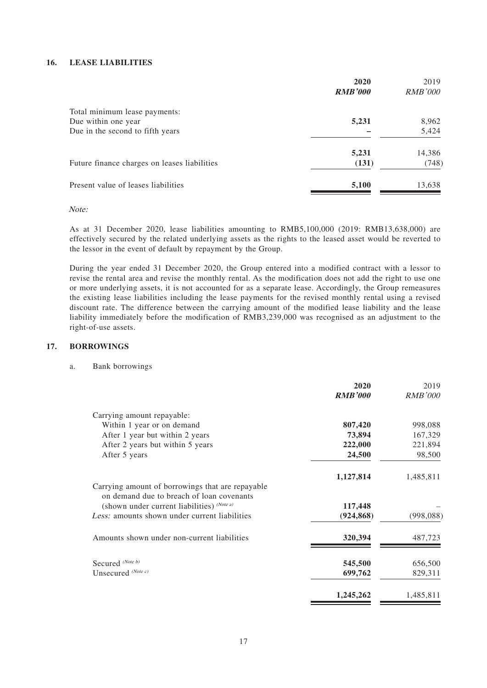#### **16. LEASE LIABILITIES**

|                                              | 2020           | 2019           |
|----------------------------------------------|----------------|----------------|
|                                              | <b>RMB'000</b> | <i>RMB'000</i> |
| Total minimum lease payments:                |                |                |
| Due within one year                          | 5,231          | 8,962          |
| Due in the second to fifth years             |                | 5,424          |
|                                              | 5,231          | 14,386         |
| Future finance charges on leases liabilities | (131)          | (748)          |
| Present value of leases liabilities          | 5,100          | 13,638         |

Note:

As at 31 December 2020, lease liabilities amounting to RMB5,100,000 (2019: RMB13,638,000) are effectively secured by the related underlying assets as the rights to the leased asset would be reverted to the lessor in the event of default by repayment by the Group.

During the year ended 31 December 2020, the Group entered into a modified contract with a lessor to revise the rental area and revise the monthly rental. As the modification does not add the right to use one or more underlying assets, it is not accounted for as a separate lease. Accordingly, the Group remeasures the existing lease liabilities including the lease payments for the revised monthly rental using a revised discount rate. The difference between the carrying amount of the modified lease liability and the lease liability immediately before the modification of RMB3,239,000 was recognised as an adjustment to the right-of-use assets.

#### **17. BORROWINGS**

#### a. Bank borrowings

|                                                                                           | 2020<br><b>RMB'000</b> | 2019<br><b>RMB'000</b> |
|-------------------------------------------------------------------------------------------|------------------------|------------------------|
| Carrying amount repayable:                                                                |                        |                        |
| Within 1 year or on demand                                                                | 807,420                | 998,088                |
| After 1 year but within 2 years                                                           | 73,894                 | 167,329                |
| After 2 years but within 5 years                                                          | 222,000                | 221,894                |
| After 5 years                                                                             | 24,500                 | 98,500                 |
|                                                                                           | 1,127,814              | 1,485,811              |
| Carrying amount of borrowings that are repayable                                          |                        |                        |
| on demand due to breach of loan covenants<br>(shown under current liabilities) $(Note a)$ | 117,448                |                        |
| Less: amounts shown under current liabilities                                             | (924, 868)             | (998, 088)             |
| Amounts shown under non-current liabilities                                               | 320,394                | 487,723                |
| Secured (Note b)                                                                          | 545,500                | 656,500                |
| Unsecured (Note c)                                                                        | 699,762                | 829,311                |
|                                                                                           | 1,245,262              | 1,485,811              |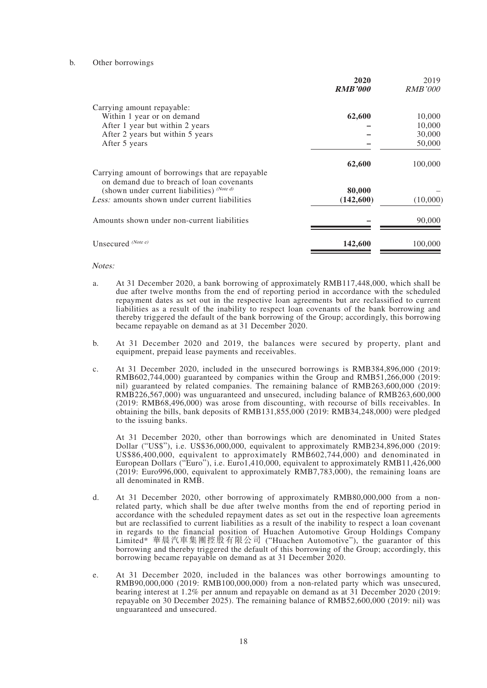#### b. Other borrowings

|                                                                                               | 2020<br><b>RMB'000</b> | 2019<br><i>RMB'000</i> |
|-----------------------------------------------------------------------------------------------|------------------------|------------------------|
| Carrying amount repayable:                                                                    |                        |                        |
| Within 1 year or on demand                                                                    | 62,600                 | 10,000                 |
| After 1 year but within 2 years                                                               |                        | 10,000                 |
| After 2 years but within 5 years                                                              |                        | 30,000                 |
| After 5 years                                                                                 |                        | 50,000                 |
|                                                                                               | 62,600                 | 100,000                |
| Carrying amount of borrowings that are repayable<br>on demand due to breach of loan covenants |                        |                        |
| (shown under current liabilities) $^{(Note d)}$                                               | 80,000                 |                        |
| Less: amounts shown under current liabilities                                                 | (142,600)              | (10,000)               |
| Amounts shown under non-current liabilities                                                   |                        | 90,000                 |
| Unsecured (Note e)                                                                            | 142,600                | 100,000                |

Notes:

- a. At 31 December 2020, a bank borrowing of approximately RMB117,448,000, which shall be due after twelve months from the end of reporting period in accordance with the scheduled repayment dates as set out in the respective loan agreements but are reclassified to current liabilities as a result of the inability to respect loan covenants of the bank borrowing and thereby triggered the default of the bank borrowing of the Group; accordingly, this borrowing became repayable on demand as at 31 December 2020.
- b. At 31 December 2020 and 2019, the balances were secured by property, plant and equipment, prepaid lease payments and receivables.
- c. At 31 December 2020, included in the unsecured borrowings is RMB384,896,000 (2019: RMB602,744,000) guaranteed by companies within the Group and RMB51,266,000 (2019: nil) guaranteed by related companies. The remaining balance of RMB263,600,000 (2019: RMB226,567,000) was unguaranteed and unsecured, including balance of RMB263,600,000 (2019: RMB68,496,000) was arose from discounting, with recourse of bills receivables. In obtaining the bills, bank deposits of RMB131,855,000 (2019: RMB34,248,000) were pledged to the issuing banks.

At 31 December 2020, other than borrowings which are denominated in United States Dollar ("US\$"), i.e. US\$36,000,000, equivalent to approximately RMB234,896,000 (2019: US\$86,400,000, equivalent to approximately RMB602,744,000) and denominated in European Dollars ("Euro"), i.e. Euro1,410,000, equivalent to approximately RMB11,426,000 (2019: Euro996,000, equivalent to approximately RMB7,783,000), the remaining loans are all denominated in RMB.

- d. At 31 December 2020, other borrowing of approximately RMB80,000,000 from a nonrelated party, which shall be due after twelve months from the end of reporting period in accordance with the scheduled repayment dates as set out in the respective loan agreements but are reclassified to current liabilities as a result of the inability to respect a loan covenant in regards to the financial position of Huachen Automotive Group Holdings Company Limited\* 華晨汽車集團控股有限公司 ("Huachen Automotive"), the guarantor of this borrowing and thereby triggered the default of this borrowing of the Group; accordingly, this borrowing became repayable on demand as at 31 December 2020.
- e. At 31 December 2020, included in the balances was other borrowings amounting to RMB90,000,000 (2019: RMB100,000,000) from a non-related party which was unsecured, bearing interest at 1.2% per annum and repayable on demand as at 31 December 2020 (2019: repayable on 30 December 2025). The remaining balance of RMB52,600,000 (2019: nil) was unguaranteed and unsecured.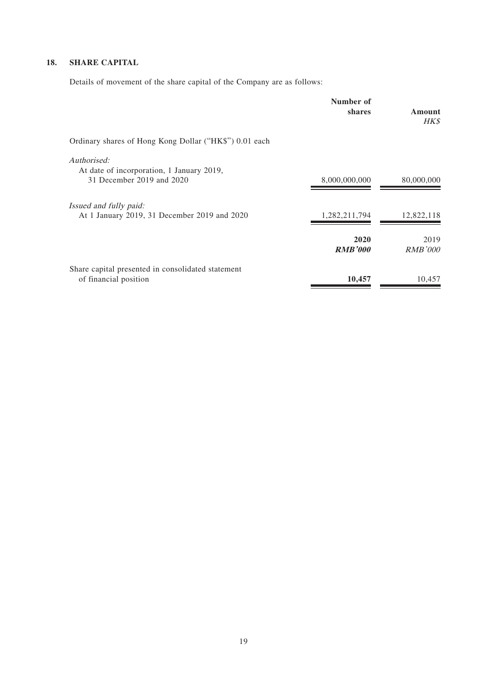# **18. SHARE CAPITAL**

Details of movement of the share capital of the Company are as follows:

|                                                                            | Number of<br>shares    | Amount<br><b>HK\$</b> |
|----------------------------------------------------------------------------|------------------------|-----------------------|
| Ordinary shares of Hong Kong Dollar ("HK\$") 0.01 each                     |                        |                       |
| Authorised:                                                                |                        |                       |
| At date of incorporation, 1 January 2019,<br>31 December 2019 and 2020     | 8,000,000,000          | 80,000,000            |
| <i>Issued and fully paid:</i>                                              |                        |                       |
| At 1 January 2019, 31 December 2019 and 2020                               | 1,282,211,794          | 12,822,118            |
|                                                                            | 2020<br><b>RMB'000</b> | 2019<br>RMB'000       |
| Share capital presented in consolidated statement<br>of financial position | 10,457                 | 10,457                |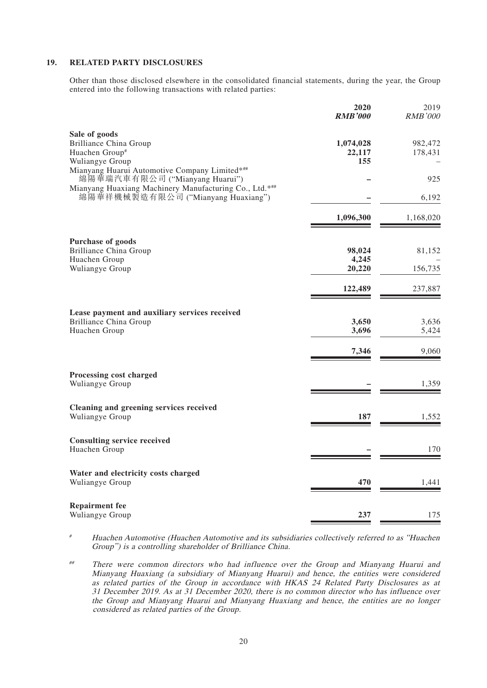#### **19. RELATED PARTY DISCLOSURES**

Other than those disclosed elsewhere in the consolidated financial statements, during the year, the Group entered into the following transactions with related parties:

|                                                                                                 | 2020<br><b>RMB'000</b>     | 2019<br><b>RMB'000</b> |
|-------------------------------------------------------------------------------------------------|----------------------------|------------------------|
| Sale of goods<br><b>Brilliance China Group</b><br>Huachen Group#<br>Wuliangye Group             | 1,074,028<br>22,117<br>155 | 982,472<br>178,431     |
| Mianyang Huarui Automotive Company Limited*##<br>綿陽華瑞汽車有限公司 ("Mianyang Huarui")                 |                            | 925                    |
| Mianyang Huaxiang Machinery Manufacturing Co., Ltd.***<br>綿陽華祥機械製造有限公司 ("Mianyang Huaxiang")    |                            | 6,192                  |
|                                                                                                 | 1,096,300                  | 1,168,020              |
| Purchase of goods                                                                               |                            |                        |
| <b>Brilliance China Group</b>                                                                   | 98,024                     | 81,152                 |
| Huachen Group<br>Wuliangye Group                                                                | 4,245<br>20,220            | 156,735                |
|                                                                                                 | 122,489                    | 237,887                |
| Lease payment and auxiliary services received<br><b>Brilliance China Group</b><br>Huachen Group | 3,650<br>3,696             | 3,636<br>5,424         |
|                                                                                                 | 7,346                      | 9,060                  |
| Processing cost charged<br>Wuliangye Group                                                      |                            | 1,359                  |
| Cleaning and greening services received<br>Wuliangye Group                                      | 187                        | 1,552                  |
| <b>Consulting service received</b><br>Huachen Group                                             |                            | 170                    |
| Water and electricity costs charged<br>Wuliangye Group                                          | 470                        | 1,441                  |
| <b>Repairment fee</b><br>Wuliangye Group                                                        | 237                        |                        |
|                                                                                                 |                            | 175                    |

# Huachen Automotive (Huachen Automotive and its subsidiaries collectively referred to as "Huachen Group") is a controlling shareholder of Brilliance China.

## There were common directors who had influence over the Group and Mianyang Huarui and Mianyang Huaxiang (a subsidiary of Mianyang Huarui) and hence, the entities were considered as related parties of the Group in accordance with HKAS 24 Related Party Disclosures as at 31 December 2019. As at 31 December 2020, there is no common director who has influence over the Group and Mianyang Huarui and Mianyang Huaxiang and hence, the entities are no longer considered as related parties of the Group.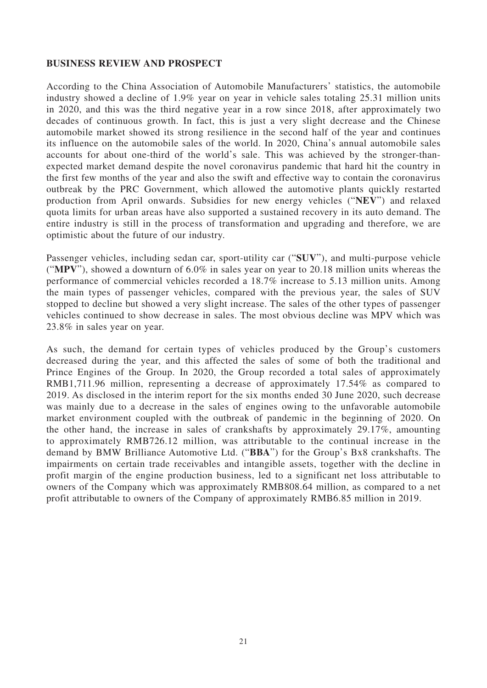### **BUSINESS REVIEW AND PROSPECT**

According to the China Association of Automobile Manufacturers' statistics, the automobile industry showed a decline of 1.9% year on year in vehicle sales totaling 25.31 million units in 2020, and this was the third negative year in a row since 2018, after approximately two decades of continuous growth. In fact, this is just a very slight decrease and the Chinese automobile market showed its strong resilience in the second half of the year and continues its influence on the automobile sales of the world. In 2020, China's annual automobile sales accounts for about one-third of the world's sale. This was achieved by the stronger-thanexpected market demand despite the novel coronavirus pandemic that hard hit the country in the first few months of the year and also the swift and effective way to contain the coronavirus outbreak by the PRC Government, which allowed the automotive plants quickly restarted production from April onwards. Subsidies for new energy vehicles ("**NEV**") and relaxed quota limits for urban areas have also supported a sustained recovery in its auto demand. The entire industry is still in the process of transformation and upgrading and therefore, we are optimistic about the future of our industry.

Passenger vehicles, including sedan car, sport-utility car ("**SUV**"), and multi-purpose vehicle ("**MPV**"), showed a downturn of 6.0% in sales year on year to 20.18 million units whereas the performance of commercial vehicles recorded a 18.7% increase to 5.13 million units. Among the main types of passenger vehicles, compared with the previous year, the sales of SUV stopped to decline but showed a very slight increase. The sales of the other types of passenger vehicles continued to show decrease in sales. The most obvious decline was MPV which was 23.8% in sales year on year.

As such, the demand for certain types of vehicles produced by the Group's customers decreased during the year, and this affected the sales of some of both the traditional and Prince Engines of the Group. In 2020, the Group recorded a total sales of approximately RMB1,711.96 million, representing a decrease of approximately 17.54% as compared to 2019. As disclosed in the interim report for the six months ended 30 June 2020, such decrease was mainly due to a decrease in the sales of engines owing to the unfavorable automobile market environment coupled with the outbreak of pandemic in the beginning of 2020. On the other hand, the increase in sales of crankshafts by approximately 29.17%, amounting to approximately RMB726.12 million, was attributable to the continual increase in the demand by BMW Brilliance Automotive Ltd. ("**BBA**") for the Group's Bx8 crankshafts. The impairments on certain trade receivables and intangible assets, together with the decline in profit margin of the engine production business, led to a significant net loss attributable to owners of the Company which was approximately RMB808.64 million, as compared to a net profit attributable to owners of the Company of approximately RMB6.85 million in 2019.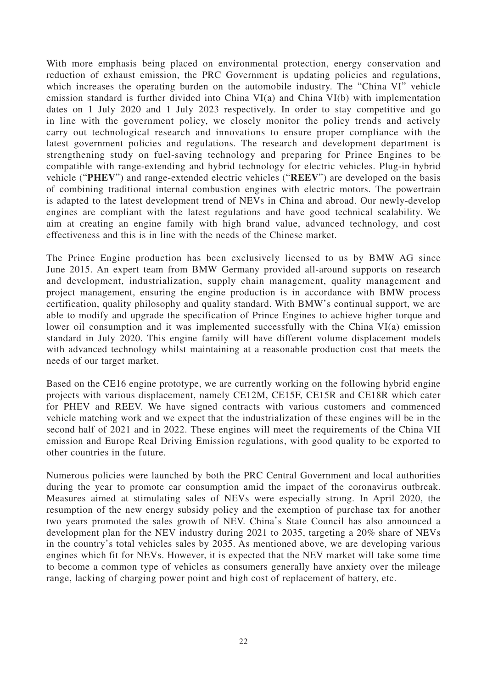With more emphasis being placed on environmental protection, energy conservation and reduction of exhaust emission, the PRC Government is updating policies and regulations, which increases the operating burden on the automobile industry. The "China VI" vehicle emission standard is further divided into China VI(a) and China VI(b) with implementation dates on 1 July 2020 and 1 July 2023 respectively. In order to stay competitive and go in line with the government policy, we closely monitor the policy trends and actively carry out technological research and innovations to ensure proper compliance with the latest government policies and regulations. The research and development department is strengthening study on fuel-saving technology and preparing for Prince Engines to be compatible with range-extending and hybrid technology for electric vehicles. Plug-in hybrid vehicle ("**PHEV**") and range-extended electric vehicles ("**REEV**") are developed on the basis of combining traditional internal combustion engines with electric motors. The powertrain is adapted to the latest development trend of NEVs in China and abroad. Our newly-develop engines are compliant with the latest regulations and have good technical scalability. We aim at creating an engine family with high brand value, advanced technology, and cost effectiveness and this is in line with the needs of the Chinese market.

The Prince Engine production has been exclusively licensed to us by BMW AG since June 2015. An expert team from BMW Germany provided all-around supports on research and development, industrialization, supply chain management, quality management and project management, ensuring the engine production is in accordance with BMW process certification, quality philosophy and quality standard. With BMW's continual support, we are able to modify and upgrade the specification of Prince Engines to achieve higher torque and lower oil consumption and it was implemented successfully with the China VI(a) emission standard in July 2020. This engine family will have different volume displacement models with advanced technology whilst maintaining at a reasonable production cost that meets the needs of our target market.

Based on the CE16 engine prototype, we are currently working on the following hybrid engine projects with various displacement, namely CE12M, CE15F, CE15R and CE18R which cater for PHEV and REEV. We have signed contracts with various customers and commenced vehicle matching work and we expect that the industrialization of these engines will be in the second half of 2021 and in 2022. These engines will meet the requirements of the China VII emission and Europe Real Driving Emission regulations, with good quality to be exported to other countries in the future.

Numerous policies were launched by both the PRC Central Government and local authorities during the year to promote car consumption amid the impact of the coronavirus outbreak. Measures aimed at stimulating sales of NEVs were especially strong. In April 2020, the resumption of the new energy subsidy policy and the exemption of purchase tax for another two years promoted the sales growth of NEV. China's State Council has also announced a development plan for the NEV industry during 2021 to 2035, targeting a 20% share of NEVs in the country's total vehicles sales by 2035. As mentioned above, we are developing various engines which fit for NEVs. However, it is expected that the NEV market will take some time to become a common type of vehicles as consumers generally have anxiety over the mileage range, lacking of charging power point and high cost of replacement of battery, etc.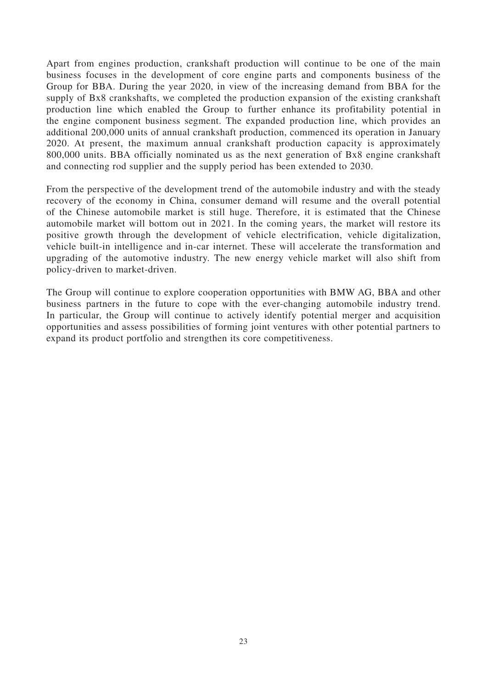Apart from engines production, crankshaft production will continue to be one of the main business focuses in the development of core engine parts and components business of the Group for BBA. During the year 2020, in view of the increasing demand from BBA for the supply of Bx8 crankshafts, we completed the production expansion of the existing crankshaft production line which enabled the Group to further enhance its profitability potential in the engine component business segment. The expanded production line, which provides an additional 200,000 units of annual crankshaft production, commenced its operation in January 2020. At present, the maximum annual crankshaft production capacity is approximately 800,000 units. BBA officially nominated us as the next generation of Bx8 engine crankshaft and connecting rod supplier and the supply period has been extended to 2030.

From the perspective of the development trend of the automobile industry and with the steady recovery of the economy in China, consumer demand will resume and the overall potential of the Chinese automobile market is still huge. Therefore, it is estimated that the Chinese automobile market will bottom out in 2021. In the coming years, the market will restore its positive growth through the development of vehicle electrification, vehicle digitalization, vehicle built-in intelligence and in-car internet. These will accelerate the transformation and upgrading of the automotive industry. The new energy vehicle market will also shift from policy-driven to market-driven.

The Group will continue to explore cooperation opportunities with BMW AG, BBA and other business partners in the future to cope with the ever-changing automobile industry trend. In particular, the Group will continue to actively identify potential merger and acquisition opportunities and assess possibilities of forming joint ventures with other potential partners to expand its product portfolio and strengthen its core competitiveness.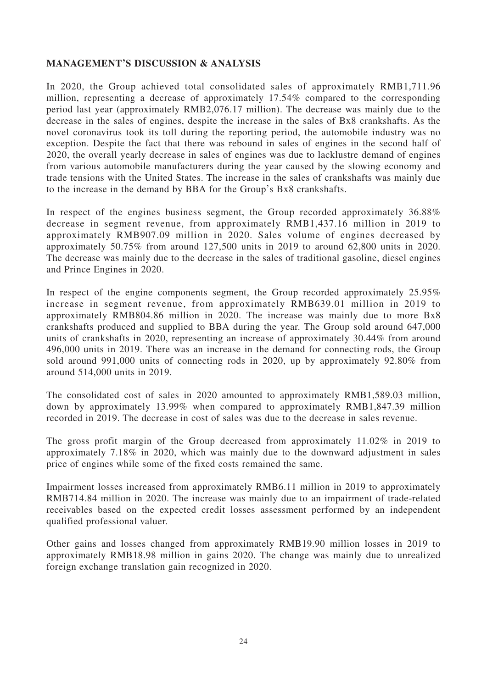### **MANAGEMENT'S DISCUSSION & ANALYSIS**

In 2020, the Group achieved total consolidated sales of approximately RMB1,711.96 million, representing a decrease of approximately 17.54% compared to the corresponding period last year (approximately RMB2,076.17 million). The decrease was mainly due to the decrease in the sales of engines, despite the increase in the sales of Bx8 crankshafts. As the novel coronavirus took its toll during the reporting period, the automobile industry was no exception. Despite the fact that there was rebound in sales of engines in the second half of 2020, the overall yearly decrease in sales of engines was due to lacklustre demand of engines from various automobile manufacturers during the year caused by the slowing economy and trade tensions with the United States. The increase in the sales of crankshafts was mainly due to the increase in the demand by BBA for the Group's Bx8 crankshafts.

In respect of the engines business segment, the Group recorded approximately 36.88% decrease in segment revenue, from approximately RMB1,437.16 million in 2019 to approximately RMB907.09 million in 2020. Sales volume of engines decreased by approximately 50.75% from around 127,500 units in 2019 to around 62,800 units in 2020. The decrease was mainly due to the decrease in the sales of traditional gasoline, diesel engines and Prince Engines in 2020.

In respect of the engine components segment, the Group recorded approximately 25.95% increase in segment revenue, from approximately RMB639.01 million in 2019 to approximately RMB804.86 million in 2020. The increase was mainly due to more Bx8 crankshafts produced and supplied to BBA during the year. The Group sold around 647,000 units of crankshafts in 2020, representing an increase of approximately 30.44% from around 496,000 units in 2019. There was an increase in the demand for connecting rods, the Group sold around 991,000 units of connecting rods in 2020, up by approximately 92.80% from around 514,000 units in 2019.

The consolidated cost of sales in 2020 amounted to approximately RMB1,589.03 million, down by approximately 13.99% when compared to approximately RMB1,847.39 million recorded in 2019. The decrease in cost of sales was due to the decrease in sales revenue.

The gross profit margin of the Group decreased from approximately 11.02% in 2019 to approximately 7.18% in 2020, which was mainly due to the downward adjustment in sales price of engines while some of the fixed costs remained the same.

Impairment losses increased from approximately RMB6.11 million in 2019 to approximately RMB714.84 million in 2020. The increase was mainly due to an impairment of trade-related receivables based on the expected credit losses assessment performed by an independent qualified professional valuer.

Other gains and losses changed from approximately RMB19.90 million losses in 2019 to approximately RMB18.98 million in gains 2020. The change was mainly due to unrealized foreign exchange translation gain recognized in 2020.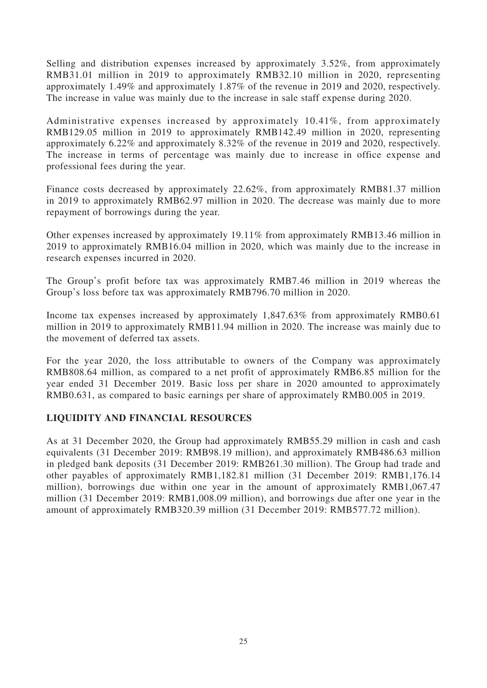Selling and distribution expenses increased by approximately 3.52%, from approximately RMB31.01 million in 2019 to approximately RMB32.10 million in 2020, representing approximately 1.49% and approximately 1.87% of the revenue in 2019 and 2020, respectively. The increase in value was mainly due to the increase in sale staff expense during 2020.

Administrative expenses increased by approximately 10.41%, from approximately RMB129.05 million in 2019 to approximately RMB142.49 million in 2020, representing approximately 6.22% and approximately 8.32% of the revenue in 2019 and 2020, respectively. The increase in terms of percentage was mainly due to increase in office expense and professional fees during the year.

Finance costs decreased by approximately 22.62%, from approximately RMB81.37 million in 2019 to approximately RMB62.97 million in 2020. The decrease was mainly due to more repayment of borrowings during the year.

Other expenses increased by approximately 19.11% from approximately RMB13.46 million in 2019 to approximately RMB16.04 million in 2020, which was mainly due to the increase in research expenses incurred in 2020.

The Group's profit before tax was approximately RMB7.46 million in 2019 whereas the Group's loss before tax was approximately RMB796.70 million in 2020.

Income tax expenses increased by approximately 1,847.63% from approximately RMB0.61 million in 2019 to approximately RMB11.94 million in 2020. The increase was mainly due to the movement of deferred tax assets.

For the year 2020, the loss attributable to owners of the Company was approximately RMB808.64 million, as compared to a net profit of approximately RMB6.85 million for the year ended 31 December 2019. Basic loss per share in 2020 amounted to approximately RMB0.631, as compared to basic earnings per share of approximately RMB0.005 in 2019.

## **LIQUIDITY AND FINANCIAL RESOURCES**

As at 31 December 2020, the Group had approximately RMB55.29 million in cash and cash equivalents (31 December 2019: RMB98.19 million), and approximately RMB486.63 million in pledged bank deposits (31 December 2019: RMB261.30 million). The Group had trade and other payables of approximately RMB1,182.81 million (31 December 2019: RMB1,176.14 million), borrowings due within one year in the amount of approximately RMB1,067.47 million (31 December 2019: RMB1,008.09 million), and borrowings due after one year in the amount of approximately RMB320.39 million (31 December 2019: RMB577.72 million).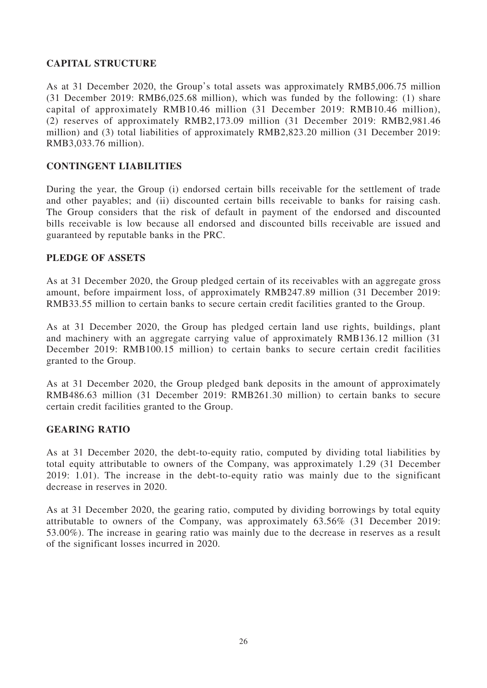## **CAPITAL STRUCTURE**

As at 31 December 2020, the Group's total assets was approximately RMB5,006.75 million (31 December 2019: RMB6,025.68 million), which was funded by the following: (1) share capital of approximately RMB10.46 million (31 December 2019: RMB10.46 million), (2) reserves of approximately RMB2,173.09 million (31 December 2019: RMB2,981.46 million) and (3) total liabilities of approximately RMB2,823.20 million (31 December 2019: RMB3,033.76 million).

### **CONTINGENT LIABILITIES**

During the year, the Group (i) endorsed certain bills receivable for the settlement of trade and other payables; and (ii) discounted certain bills receivable to banks for raising cash. The Group considers that the risk of default in payment of the endorsed and discounted bills receivable is low because all endorsed and discounted bills receivable are issued and guaranteed by reputable banks in the PRC.

### **PLEDGE OF ASSETS**

As at 31 December 2020, the Group pledged certain of its receivables with an aggregate gross amount, before impairment loss, of approximately RMB247.89 million (31 December 2019: RMB33.55 million to certain banks to secure certain credit facilities granted to the Group.

As at 31 December 2020, the Group has pledged certain land use rights, buildings, plant and machinery with an aggregate carrying value of approximately RMB136.12 million (31 December 2019: RMB100.15 million) to certain banks to secure certain credit facilities granted to the Group.

As at 31 December 2020, the Group pledged bank deposits in the amount of approximately RMB486.63 million (31 December 2019: RMB261.30 million) to certain banks to secure certain credit facilities granted to the Group.

### **GEARING RATIO**

As at 31 December 2020, the debt-to-equity ratio, computed by dividing total liabilities by total equity attributable to owners of the Company, was approximately 1.29 (31 December 2019: 1.01). The increase in the debt-to-equity ratio was mainly due to the significant decrease in reserves in 2020.

As at 31 December 2020, the gearing ratio, computed by dividing borrowings by total equity attributable to owners of the Company, was approximately 63.56% (31 December 2019: 53.00%). The increase in gearing ratio was mainly due to the decrease in reserves as a result of the significant losses incurred in 2020.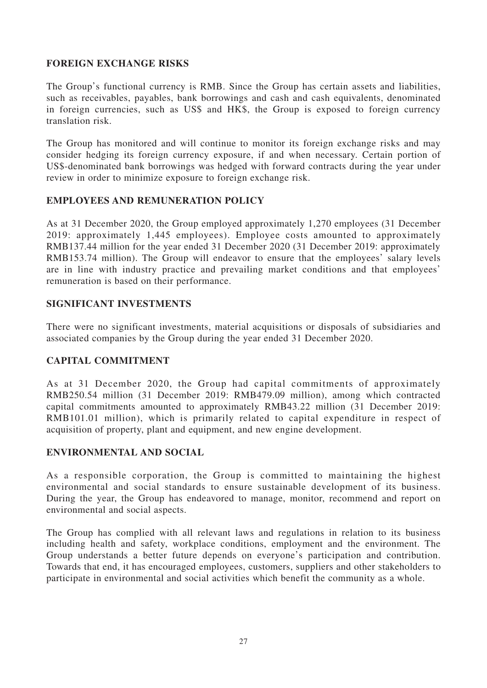# **FOREIGN EXCHANGE RISKS**

The Group's functional currency is RMB. Since the Group has certain assets and liabilities, such as receivables, payables, bank borrowings and cash and cash equivalents, denominated in foreign currencies, such as US\$ and HK\$, the Group is exposed to foreign currency translation risk.

The Group has monitored and will continue to monitor its foreign exchange risks and may consider hedging its foreign currency exposure, if and when necessary. Certain portion of US\$-denominated bank borrowings was hedged with forward contracts during the year under review in order to minimize exposure to foreign exchange risk.

# **EMPLOYEES AND REMUNERATION POLICY**

As at 31 December 2020, the Group employed approximately 1,270 employees (31 December 2019: approximately 1,445 employees). Employee costs amounted to approximately RMB137.44 million for the year ended 31 December 2020 (31 December 2019: approximately RMB153.74 million). The Group will endeavor to ensure that the employees' salary levels are in line with industry practice and prevailing market conditions and that employees' remuneration is based on their performance.

## **SIGNIFICANT INVESTMENTS**

There were no significant investments, material acquisitions or disposals of subsidiaries and associated companies by the Group during the year ended 31 December 2020.

## **CAPITAL COMMITMENT**

As at 31 December 2020, the Group had capital commitments of approximately RMB250.54 million (31 December 2019: RMB479.09 million), among which contracted capital commitments amounted to approximately RMB43.22 million (31 December 2019: RMB101.01 million), which is primarily related to capital expenditure in respect of acquisition of property, plant and equipment, and new engine development.

## **ENVIRONMENTAL AND SOCIAL**

As a responsible corporation, the Group is committed to maintaining the highest environmental and social standards to ensure sustainable development of its business. During the year, the Group has endeavored to manage, monitor, recommend and report on environmental and social aspects.

The Group has complied with all relevant laws and regulations in relation to its business including health and safety, workplace conditions, employment and the environment. The Group understands a better future depends on everyone's participation and contribution. Towards that end, it has encouraged employees, customers, suppliers and other stakeholders to participate in environmental and social activities which benefit the community as a whole.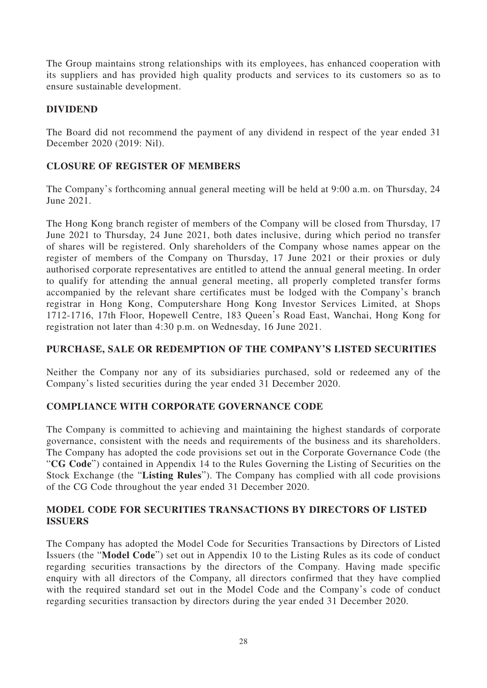The Group maintains strong relationships with its employees, has enhanced cooperation with its suppliers and has provided high quality products and services to its customers so as to ensure sustainable development.

# **DIVIDEND**

The Board did not recommend the payment of any dividend in respect of the year ended 31 December 2020 (2019: Nil).

# **CLOSURE OF REGISTER OF MEMBERS**

The Company's forthcoming annual general meeting will be held at 9:00 a.m. on Thursday, 24 June 2021.

The Hong Kong branch register of members of the Company will be closed from Thursday, 17 June 2021 to Thursday, 24 June 2021, both dates inclusive, during which period no transfer of shares will be registered. Only shareholders of the Company whose names appear on the register of members of the Company on Thursday, 17 June 2021 or their proxies or duly authorised corporate representatives are entitled to attend the annual general meeting. In order to qualify for attending the annual general meeting, all properly completed transfer forms accompanied by the relevant share certificates must be lodged with the Company's branch registrar in Hong Kong, Computershare Hong Kong Investor Services Limited, at Shops 1712-1716, 17th Floor, Hopewell Centre, 183 Queen's Road East, Wanchai, Hong Kong for registration not later than 4:30 p.m. on Wednesday, 16 June 2021.

## **PURCHASE, SALE OR REDEMPTION OF THE COMPANY'S LISTED SECURITIES**

Neither the Company nor any of its subsidiaries purchased, sold or redeemed any of the Company's listed securities during the year ended 31 December 2020.

## **COMPLIANCE WITH CORPORATE GOVERNANCE CODE**

The Company is committed to achieving and maintaining the highest standards of corporate governance, consistent with the needs and requirements of the business and its shareholders. The Company has adopted the code provisions set out in the Corporate Governance Code (the "**CG Code**") contained in Appendix 14 to the Rules Governing the Listing of Securities on the Stock Exchange (the "**Listing Rules**"). The Company has complied with all code provisions of the CG Code throughout the year ended 31 December 2020.

## **MODEL CODE FOR SECURITIES TRANSACTIONS BY DIRECTORS OF LISTED ISSUERS**

The Company has adopted the Model Code for Securities Transactions by Directors of Listed Issuers (the "**Model Code**") set out in Appendix 10 to the Listing Rules as its code of conduct regarding securities transactions by the directors of the Company. Having made specific enquiry with all directors of the Company, all directors confirmed that they have complied with the required standard set out in the Model Code and the Company's code of conduct regarding securities transaction by directors during the year ended 31 December 2020.